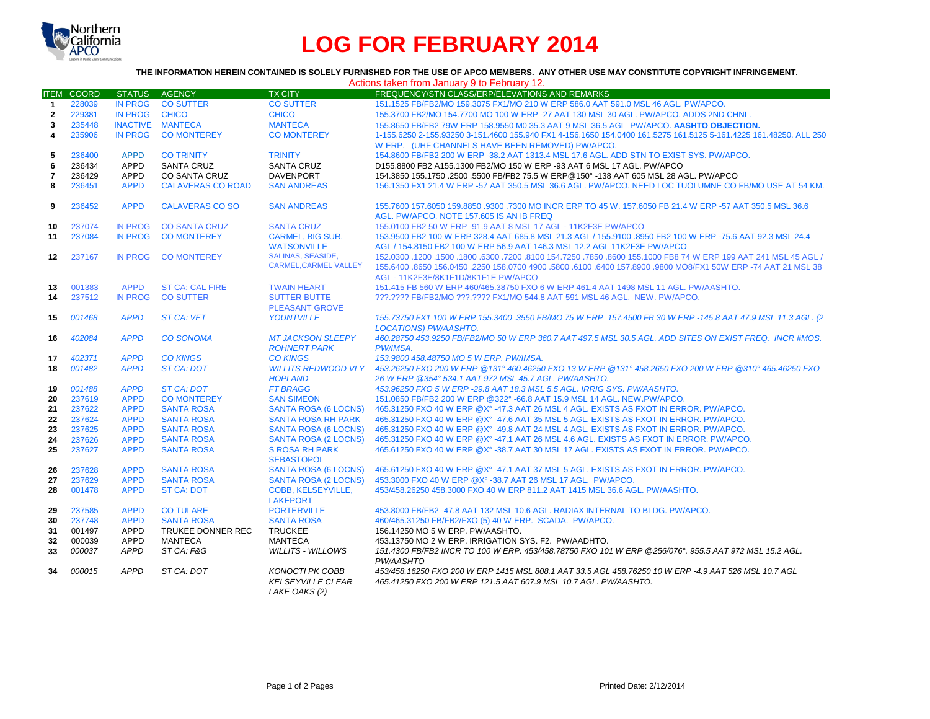

# **LOG FOR FEBRUARY 2014**

## **THE INFORMATION HEREIN CONTAINED IS SOLELY FURNISHED FOR THE USE OF APCO MEMBERS. ANY OTHER USE MAY CONSTITUTE COPYRIGHT INFRINGEMENT.**

|  | Actions taken from January 9 to February 12. |  |
|--|----------------------------------------------|--|
|--|----------------------------------------------|--|

|                | <b>ITEM COORD</b> |                            | STATUS AGENCY            | <b>TX CITY</b>                             | FREQUENCY/STN CLASS/ERP/ELEVATIONS AND REMARKS                                                                    |
|----------------|-------------------|----------------------------|--------------------------|--------------------------------------------|-------------------------------------------------------------------------------------------------------------------|
| $\mathbf{1}$   | 228039            |                            | IN PROG CO SUTTER        | <b>CO SUTTER</b>                           | 151.1525 FB/FB2/MO 159.3075 FX1/MO 210 W ERP 586.0 AAT 591.0 MSL 46 AGL, PW/APCO.                                 |
| $\mathbf{2}$   | 229381            | <b>IN PROG</b>             | <b>CHICO</b>             | <b>CHICO</b>                               | 155.3700 FB2/MO 154.7700 MO 100 W ERP -27 AAT 130 MSL 30 AGL. PW/APCO, ADDS 2ND CHNL.                             |
| 3              | 235448            |                            | <b>INACTIVE MANTECA</b>  | <b>MANTECA</b>                             | 155.8650 FB/FB2 79W ERP 158.9550 M0 35.3 AAT 9 MSL 36.5 AGL PW/APCO. AASHTO OBJECTION.                            |
| 4              | 235906            | <b>IN PROG</b>             | <b>CO MONTEREY</b>       | <b>CO MONTEREY</b>                         | 1-155.6250 2-155.93250 3-151.4600 155.940 FX1 4-156.1650 154.0400 161.5275 161.5125 5-161.4225 161.48250, ALL 250 |
|                |                   |                            |                          |                                            | W ERP. (UHF CHANNELS HAVE BEEN REMOVED) PW/APCO.                                                                  |
| 5              | 236400            | <b>APPD</b>                | <b>CO TRINITY</b>        | <b>TRINITY</b>                             | 154.8600 FB/FB2 200 W ERP -38.2 AAT 1313.4 MSL 17.6 AGL, ADD STN TO EXIST SYS, PW/APCO,                           |
| 6              | 236434            | <b>APPD</b>                | <b>SANTA CRUZ</b>        | <b>SANTA CRUZ</b>                          | D155.8800 FB2 A155.1300 FB2/MO 150 W ERP -93 AAT 6 MSL 17 AGL, PW/APCO                                            |
| $\overline{7}$ | 236429            | <b>APPD</b>                | <b>CO SANTA CRUZ</b>     | <b>DAVENPORT</b>                           | 154.3850 155.1750 .2500 .5500 FB/FB2 75.5 W ERP@150° -138 AAT 605 MSL 28 AGL, PW/APCO                             |
| 8              | 236451            | <b>APPD</b>                | <b>CALAVERAS CO ROAD</b> | <b>SAN ANDREAS</b>                         | 156.1350 FX1 21.4 W ERP -57 AAT 350.5 MSL 36.6 AGL. PW/APCO, NEED LOC TUOLUMNE CO FB/MO USE AT 54 KM.             |
| 9              | 236452            | <b>APPD</b>                | <b>CALAVERAS CO SO</b>   | <b>SAN ANDREAS</b>                         | 155.7600 157.6050 159.8850 .9300 .7300 MO INCR ERP TO 45 W. 157.6050 FB 21.4 W ERP -57 AAT 350.5 MSL 36.6         |
|                |                   |                            |                          |                                            | AGL, PW/APCO, NOTE 157,605 IS AN IB FREQ                                                                          |
| 10             | 237074            | <b>IN PROG</b>             | <b>CO SANTA CRUZ</b>     | <b>SANTA CRUZ</b>                          | 155,0100 FB2 50 W ERP -91.9 AAT 8 MSL 17 AGL - 11K2F3E PW/APCO                                                    |
| 11             | 237084            | <b>IN PROG</b>             | <b>CO MONTEREY</b>       | <b>CARMEL, BIG SUR.</b>                    | 153,9500 FB2 100 W ERP 328.4 AAT 685.8 MSL 21.3 AGL / 155,9100 .8950 FB2 100 W ERP -75.6 AAT 92.3 MSL 24.4        |
|                |                   |                            |                          | <b>WATSONVILLE</b>                         | AGL / 154.8150 FB2 100 W ERP 56.9 AAT 146.3 MSL 12.2 AGL 11K2F3E PW/APCO                                          |
| 12             | 237167            | <b>IN PROG</b>             | <b>CO MONTEREY</b>       | <b>SALINAS, SEASIDE,</b>                   | 152.0300 .1200 .1500 .6300 .7200 .8100 154.7250 .7850 .8600 155.1000 FB8 74 W ERP 199 AAT 241 MSL 45 AGL /        |
|                |                   |                            |                          | <b>CARMEL.CARMEL VALLEY</b>                | 155.6400 .8650 156.0450 .2250 158.0700 4900 .5800 .6100 .6400 157.8900 .9800 MO8/FX1 50W ERP -74 AAT 21 MSL 38    |
|                |                   |                            |                          |                                            | AGL - 11K2F3E/8K1F1D/8K1F1E PW/APCO                                                                               |
| 13             | 001383            | <b>APPD</b>                | <b>ST CA: CAL FIRE</b>   | <b>TWAIN HEART</b>                         | 151.415 FB 560 W ERP 460/465.38750 FXO 6 W ERP 461.4 AAT 1498 MSL 11 AGL, PW/AASHTO.                              |
| 14             | 237512            | <b>IN PROG</b>             | <b>CO SUTTER</b>         | <b>SUTTER BUTTE</b>                        | ???.???? FB/FB2/MO ???.???? FX1/MO 544.8 AAT 591 MSL 46 AGL. NEW. PW/APCO.                                        |
|                |                   |                            |                          | <b>PLEASANT GROVE</b>                      |                                                                                                                   |
| 15             | 001468            | <b>APPD</b>                | ST CA: VET               | <b>YOUNTVILLE</b>                          | 155.73750 FX1 100 W ERP 155.3400 .3550 FB/MO 75 W ERP 157.4500 FB 30 W ERP -145.8 AAT 47.9 MSL 11.3 AGL. (2       |
|                |                   |                            |                          |                                            | <b>LOCATIONS) PW/AASHTO.</b>                                                                                      |
| 16             | 402084            | <b>APPD</b>                | <b>CO SONOMA</b>         | <b>MT JACKSON SLEEPY</b>                   | 460.28750 453.9250 FB/FB2/MO 50 W ERP 360.7 AAT 497.5 MSL 30.5 AGL. ADD SITES ON EXIST FREQ. INCR #MOS.           |
|                |                   |                            |                          | <b>ROHNERT PARK</b>                        | PW/IMSA.                                                                                                          |
| 17             | 402371            | <b>APPD</b>                | <b>CO KINGS</b>          | <b>CO KINGS</b>                            | 153.9800 458.48750 MO 5 W ERP. PW/IMSA.                                                                           |
| 18             | 001482            | <b>APPD</b>                | <b>ST CA: DOT</b>        | <b>WILLITS REDWOOD VLY</b>                 | 453,26250 FXO 200 W ERP @131°460,46250 FXO 13 W ERP @131°458,2650 FXO 200 W ERP @310°465,46250 FXO                |
|                |                   |                            |                          | <b>HOPLAND</b>                             | 26 W ERP @354° 534.1 AAT 972 MSL 45.7 AGL. PW/AASHTO.                                                             |
| 19             | 001488            | <b>APPD</b>                | <b>ST CA: DOT</b>        | <b>FT BRAGG</b>                            | 453.96250 FXO 5 W ERP -29.8 AAT 18.3 MSL 5.5 AGL. IRRIG SYS. PW/AASHTO.                                           |
| 20             | 237619            | <b>APPD</b>                | <b>CO MONTEREY</b>       | <b>SAN SIMEON</b>                          | 151.0850 FB/FB2 200 W ERP @322° -66.8 AAT 15.9 MSL 14 AGL. NEW.PW/APCO.                                           |
| 21             | 237622            | <b>APPD</b>                | <b>SANTA ROSA</b>        | <b>SANTA ROSA (6 LOCNS)</b>                | 465.31250 FXO 40 W ERP @X° -47.3 AAT 26 MSL 4 AGL. EXISTS AS FXOT IN ERROR. PW/APCO.                              |
| 22             | 237624            | <b>APPD</b>                | <b>SANTA ROSA</b>        | <b>SANTA ROSA RH PARK</b>                  | 465,31250 FXO 40 W ERP @X° -47.6 AAT 35 MSL 5 AGL. EXISTS AS FXOT IN ERROR, PW/APCO,                              |
| 23             | 237625            | <b>APPD</b>                | <b>SANTA ROSA</b>        | <b>SANTA ROSA (6 LOCNS)</b>                | 465,31250 FXO 40 W ERP @X° -49.8 AAT 24 MSL 4 AGL. EXISTS AS FXOT IN ERROR, PW/APCO,                              |
| 24<br>25       | 237626<br>237627  | <b>APPD</b><br><b>APPD</b> | <b>SANTA ROSA</b>        | SANTA ROSA (2 LOCNS)                       | 465.31250 FXO 40 W ERP @X° -47.1 AAT 26 MSL 4.6 AGL. EXISTS AS FXOT IN ERROR. PW/APCO.                            |
|                |                   |                            | <b>SANTA ROSA</b>        | <b>S ROSA RH PARK</b><br><b>SEBASTOPOL</b> | 465.61250 FXO 40 W ERP @X° -38.7 AAT 30 MSL 17 AGL. EXISTS AS FXOT IN ERROR. PW/APCO.                             |
| 26             | 237628            | <b>APPD</b>                | <b>SANTA ROSA</b>        | <b>SANTA ROSA (6 LOCNS)</b>                | 465.61250 FXO 40 W ERP @X° -47.1 AAT 37 MSL 5 AGL. EXISTS AS FXOT IN ERROR. PW/APCO.                              |
| 27             | 237629            | <b>APPD</b>                | <b>SANTA ROSA</b>        | SANTA ROSA (2 LOCNS)                       | 453,3000 FXO 40 W ERP @X° -38.7 AAT 26 MSL 17 AGL. PW/APCO.                                                       |
| 28             | 001478            | <b>APPD</b>                | <b>ST CA: DOT</b>        | COBB, KELSEYVILLE,                         | 453/458.26250 458.3000 FXO 40 W ERP 811.2 AAT 1415 MSL 36.6 AGL. PW/AASHTO.                                       |
|                |                   |                            |                          | <b>LAKEPORT</b>                            |                                                                                                                   |
| 29             | 237585            | <b>APPD</b>                | <b>CO TULARE</b>         | <b>PORTERVILLE</b>                         | 453.8000 FB/FB2 -47.8 AAT 132 MSL 10.6 AGL. RADIAX INTERNAL TO BLDG. PW/APCO.                                     |
| 30             | 237748            | <b>APPD</b>                | <b>SANTA ROSA</b>        | <b>SANTA ROSA</b>                          | 460/465.31250 FB/FB2/FXO (5) 40 W ERP. SCADA. PW/APCO.                                                            |
| 31             | 001497            | <b>APPD</b>                | TRUKEE DONNER REC        | <b>TRUCKEE</b>                             | 156.14250 MO 5 W ERP. PW/AASHTO.                                                                                  |
| 32             | 000039            | <b>APPD</b>                | <b>MANTECA</b>           | <b>MANTECA</b>                             | 453.13750 MO 2 W ERP. IRRIGATION SYS. F2. PW/AADHTO.                                                              |
| 33             | 000037            | <b>APPD</b>                | ST CA: F&G               | <b>WILLITS - WILLOWS</b>                   | 151.4300 FB/FB2 INCR TO 100 W ERP. 453/458.78750 FXO 101 W ERP @256/076°. 955.5 AAT 972 MSL 15.2 AGL.             |
|                |                   |                            |                          |                                            | PW/AASHTO                                                                                                         |
| 34             | 000015            | <b>APPD</b>                | ST CA: DOT               | <b>KONOCTI PK COBB</b>                     | 453/458.16250 FXO 200 W ERP 1415 MSL 808.1 AAT 33.5 AGL 458.76250 10 W ERP -4.9 AAT 526 MSL 10.7 AGL              |
|                |                   |                            |                          | <b>KELSEYVILLE CLEAR</b>                   | 465.41250 FXO 200 W ERP 121.5 AAT 607.9 MSL 10.7 AGL, PW/AASHTO.                                                  |
|                |                   |                            |                          | LAKE OAKS (2)                              |                                                                                                                   |